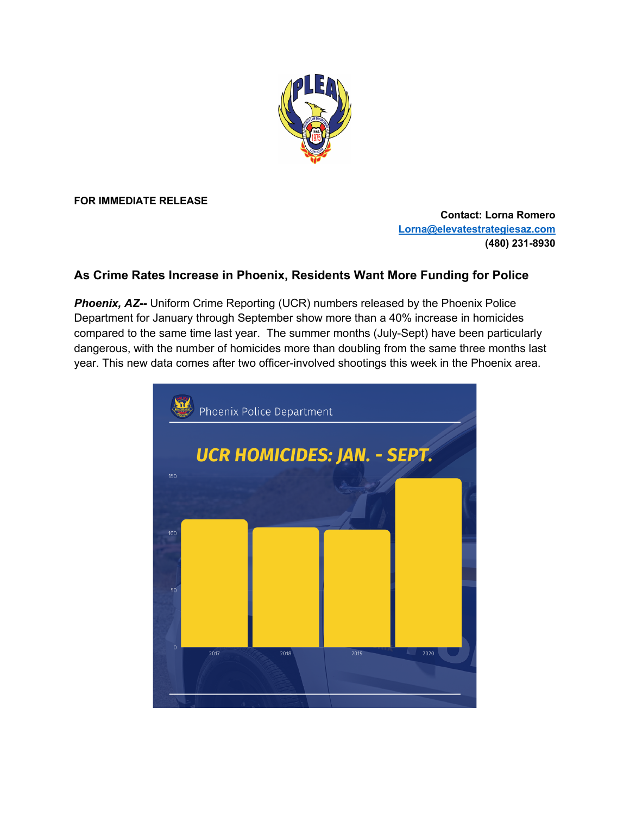

**FOR IMMEDIATE RELEASE**

**Contact: Lorna Romero Lorna@elevatestrategiesaz.com (480) 231-8930**

## **As Crime Rates Increase in Phoenix, Residents Want More Funding for Police**

**Phoenix, AZ--** Uniform Crime Reporting (UCR) numbers released by the Phoenix Police Department for January through September show more than a 40% increase in homicides compared to the same time last year. The summer months (July-Sept) have been particularly dangerous, with the number of homicides more than doubling from the same three months last year. This new data comes after two officer-involved shootings this week in the Phoenix area.

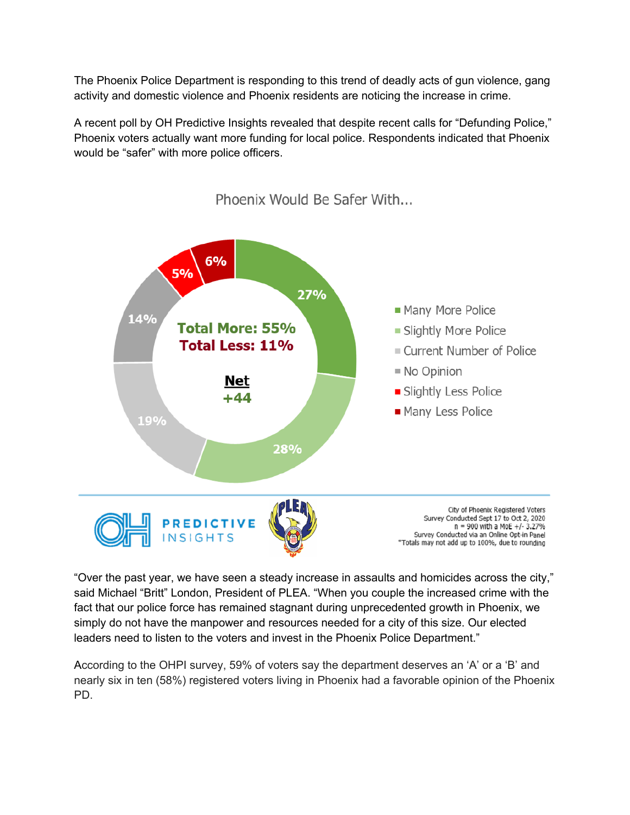The Phoenix Police Department is responding to this trend of deadly acts of gun violence, gang activity and domestic violence and Phoenix residents are noticing the increase in crime.

A recent poll by OH Predictive Insights revealed that despite recent calls for "Defunding Police," Phoenix voters actually want more funding for local police. Respondents indicated that Phoenix would be "safer" with more police officers.



Phoenix Would Be Safer With...

"Over the past year, we have seen a steady increase in assaults and homicides across the city," said Michael "Britt" London, President of PLEA. "When you couple the increased crime with the fact that our police force has remained stagnant during unprecedented growth in Phoenix, we simply do not have the manpower and resources needed for a city of this size. Our elected leaders need to listen to the voters and invest in the Phoenix Police Department."

According to the OHPI survey, 59% of voters say the department deserves an 'A' or a 'B' and nearly six in ten (58%) registered voters living in Phoenix had a favorable opinion of the Phoenix PD.